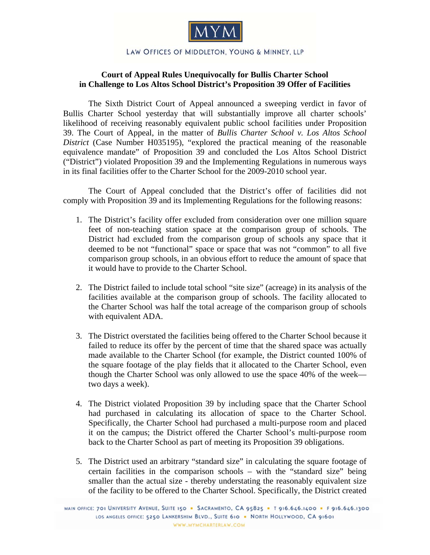

## LAW OFFICES OF MIDDLETON, YOUNG & MINNEY, LLP

## **Court of Appeal Rules Unequivocally for Bullis Charter School in Challenge to Los Altos School District's Proposition 39 Offer of Facilities**

The Sixth District Court of Appeal announced a sweeping verdict in favor of Bullis Charter School yesterday that will substantially improve all charter schools' likelihood of receiving reasonably equivalent public school facilities under Proposition 39. The Court of Appeal, in the matter of *Bullis Charter School v. Los Altos School District* (Case Number H035195), "explored the practical meaning of the reasonable equivalence mandate" of Proposition 39 and concluded the Los Altos School District ("District") violated Proposition 39 and the Implementing Regulations in numerous ways in its final facilities offer to the Charter School for the 2009-2010 school year.

 The Court of Appeal concluded that the District's offer of facilities did not comply with Proposition 39 and its Implementing Regulations for the following reasons:

- 1. The District's facility offer excluded from consideration over one million square feet of non-teaching station space at the comparison group of schools. The District had excluded from the comparison group of schools any space that it deemed to be not "functional" space or space that was not "common" to all five comparison group schools, in an obvious effort to reduce the amount of space that it would have to provide to the Charter School.
- 2. The District failed to include total school "site size" (acreage) in its analysis of the facilities available at the comparison group of schools. The facility allocated to the Charter School was half the total acreage of the comparison group of schools with equivalent ADA.
- 3. The District overstated the facilities being offered to the Charter School because it failed to reduce its offer by the percent of time that the shared space was actually made available to the Charter School (for example, the District counted 100% of the square footage of the play fields that it allocated to the Charter School, even though the Charter School was only allowed to use the space 40% of the week two days a week).
- 4. The District violated Proposition 39 by including space that the Charter School had purchased in calculating its allocation of space to the Charter School. Specifically, the Charter School had purchased a multi-purpose room and placed it on the campus; the District offered the Charter School's multi-purpose room back to the Charter School as part of meeting its Proposition 39 obligations.
- 5. The District used an arbitrary "standard size" in calculating the square footage of certain facilities in the comparison schools – with the "standard size" being smaller than the actual size - thereby understating the reasonably equivalent size of the facility to be offered to the Charter School. Specifically, the District created